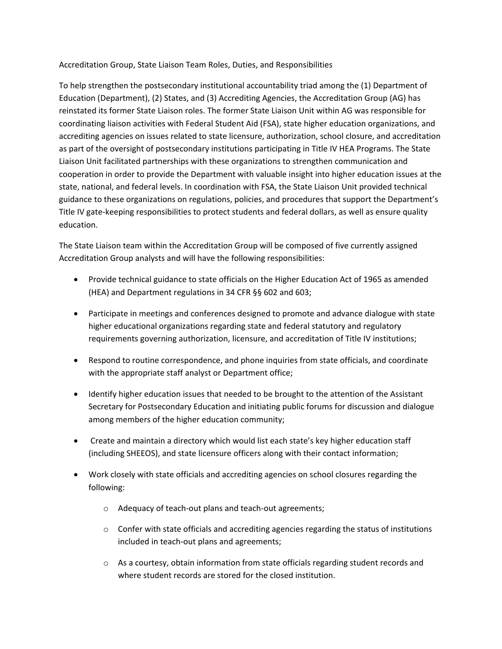Accreditation Group, State Liaison Team Roles, Duties, and Responsibilities

To help strengthen the postsecondary institutional accountability triad among the (1) Department of Education (Department), (2) States, and (3) Accrediting Agencies, the Accreditation Group (AG) has reinstated its former State Liaison roles. The former State Liaison Unit within AG was responsible for coordinating liaison activities with Federal Student Aid (FSA), state higher education organizations, and accrediting agencies on issues related to state licensure, authorization, school closure, and accreditation as part of the oversight of postsecondary institutions participating in Title IV HEA Programs. The State Liaison Unit facilitated partnerships with these organizations to strengthen communication and cooperation in order to provide the Department with valuable insight into higher education issues at the state, national, and federal levels. In coordination with FSA, the State Liaison Unit provided technical guidance to these organizations on regulations, policies, and procedures that support the Department's Title IV gate-keeping responsibilities to protect students and federal dollars, as well as ensure quality education.

The State Liaison team within the Accreditation Group will be composed of five currently assigned Accreditation Group analysts and will have the following responsibilities:

- Provide technical guidance to state officials on the Higher Education Act of 1965 as amended (HEA) and Department regulations in 34 CFR §§ 602 and 603;
- Participate in meetings and conferences designed to promote and advance dialogue with state higher educational organizations regarding state and federal statutory and regulatory requirements governing authorization, licensure, and accreditation of Title IV institutions;
- Respond to routine correspondence, and phone inquiries from state officials, and coordinate with the appropriate staff analyst or Department office;
- Identify higher education issues that needed to be brought to the attention of the Assistant Secretary for Postsecondary Education and initiating public forums for discussion and dialogue among members of the higher education community;
- Create and maintain a directory which would list each state's key higher education staff (including SHEEOS), and state licensure officers along with their contact information;
- Work closely with state officials and accrediting agencies on school closures regarding the following:
	- o Adequacy of teach-out plans and teach-out agreements;
	- $\circ$  Confer with state officials and accrediting agencies regarding the status of institutions included in teach-out plans and agreements;
	- o As a courtesy, obtain information from state officials regarding student records and where student records are stored for the closed institution.